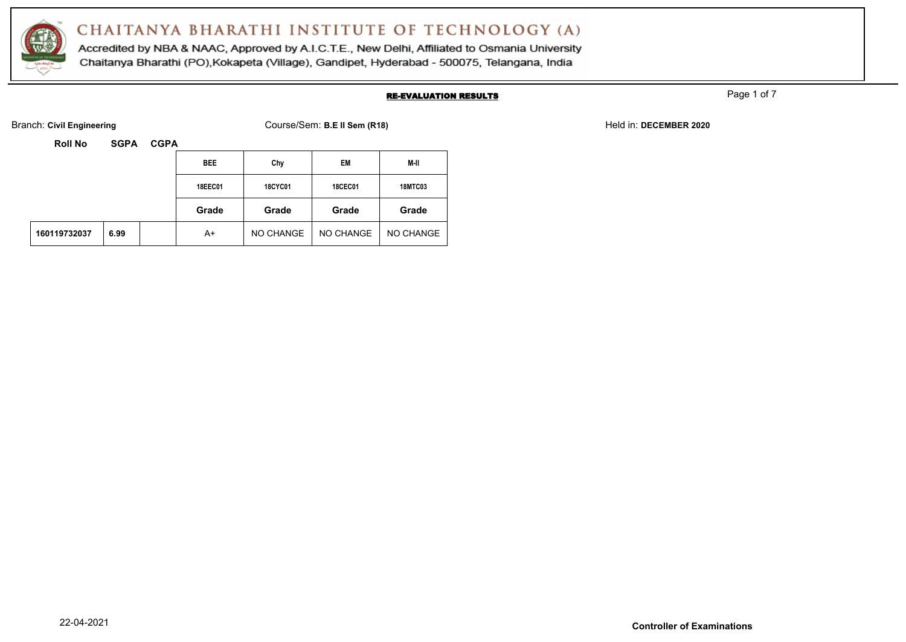

Accredited by NBA & NAAC, Approved by A.I.C.T.E., New Delhi, Affiliated to Osmania University Chaitanya Bharathi (PO), Kokapeta (Village), Gandipet, Hyderabad - 500075, Telangana, India

#### RE-EVALUATION RESULTS

Page 1 of 7

Branch: Civil Engineering **COURSE 2020** Course/Sem: B.E II Sem (R18) Held in: DECEMBER 2020

| <b>Roll No</b><br><b>SGPA</b><br><b>CGPA</b> |      |  |            |                |                |                |  |
|----------------------------------------------|------|--|------------|----------------|----------------|----------------|--|
|                                              |      |  | <b>BEE</b> | Chy            | EM             | M-II           |  |
|                                              |      |  | 18EEC01    | <b>18CYC01</b> | <b>18CEC01</b> | <b>18MTC03</b> |  |
|                                              |      |  | Grade      | Grade          | Grade          | Grade          |  |
| 160119732037                                 | 6.99 |  | A+         | NO CHANGE      | NO CHANGE      | NO CHANGE      |  |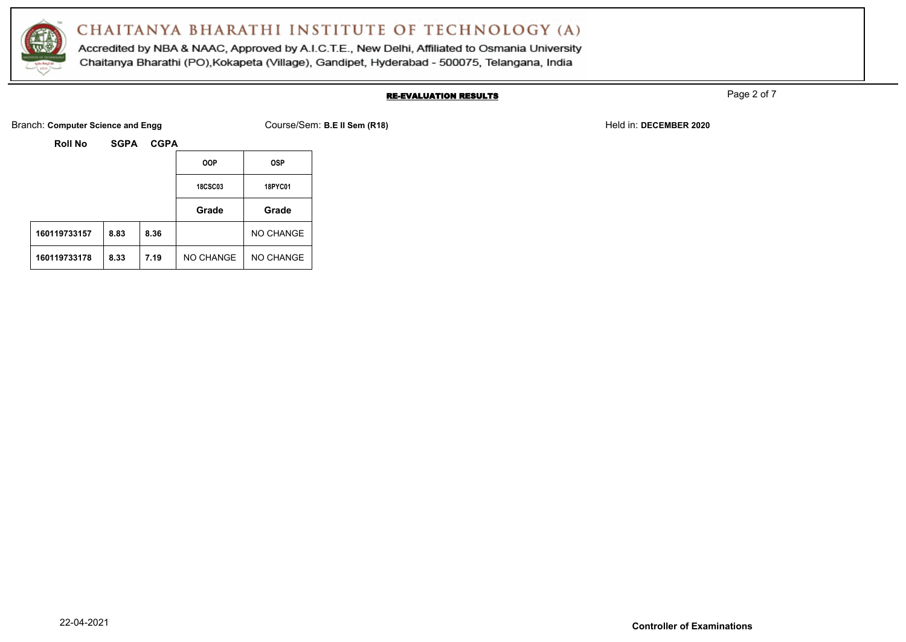

Accredited by NBA & NAAC, Approved by A.I.C.T.E., New Delhi, Affiliated to Osmania University Chaitanya Bharathi (PO), Kokapeta (Village), Gandipet, Hyderabad - 500075, Telangana, India

### RE-EVALUATION RESULTS

Page 2 of 7

Branch: **Computer Science and Engg Course/Sem: B.E II Sem (R18)** Held in: **DECEMBER 2020** Held in: **DECEMBER 2020** 

|              |      |      | <b>OOP</b>       | <b>OSP</b>       |
|--------------|------|------|------------------|------------------|
|              |      |      | <b>18CSC03</b>   | <b>18PYC01</b>   |
|              |      |      | Grade            | Grade            |
| 160119733157 | 8.83 | 8.36 |                  | NO CHANGE        |
| 160119733178 | 8.33 | 7.19 | <b>NO CHANGE</b> | <b>NO CHANGE</b> |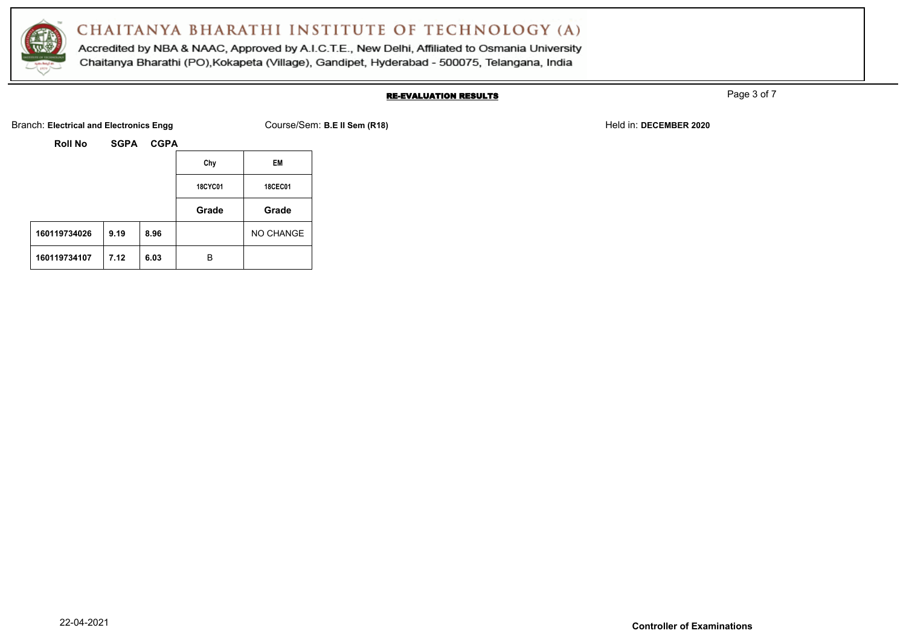

Accredited by NBA & NAAC, Approved by A.I.C.T.E., New Delhi, Affiliated to Osmania University Chaitanya Bharathi (PO), Kokapeta (Village), Gandipet, Hyderabad - 500075, Telangana, India

### RE-EVALUATION RESULTS

Page 3 of 7

Branch: **Electrical and Electronics Engg** Course/Sem: **B.E II Sem (R18)** Held in: **DECEMBER 2020**

| <b>Roll No</b> | <b>SGPA</b> | <b>CGPA</b> |
|----------------|-------------|-------------|
|----------------|-------------|-------------|

|              |      |      | Chy            | EM             |
|--------------|------|------|----------------|----------------|
|              |      |      | <b>18CYC01</b> | <b>18CEC01</b> |
|              |      |      | Grade          | Grade          |
| 160119734026 | 9.19 | 8.96 |                | NO CHANGE      |
| 160119734107 | 7.12 | 6.03 | в              |                |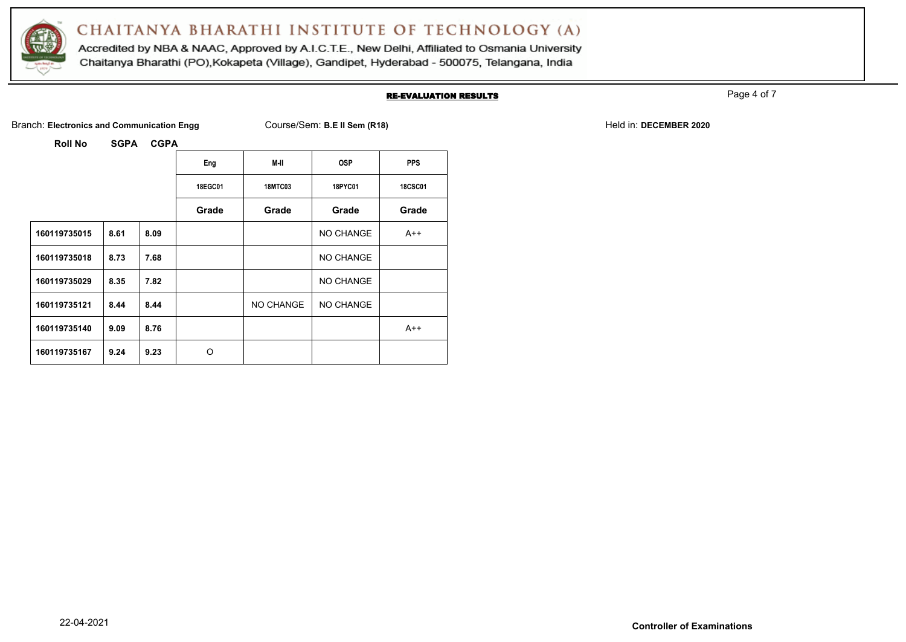

Accredited by NBA & NAAC, Approved by A.I.C.T.E., New Delhi, Affiliated to Osmania University Chaitanya Bharathi (PO), Kokapeta (Village), Gandipet, Hyderabad - 500075, Telangana, India

#### RE-EVALUATION RESULTS

Page 4 of 7

Branch: Electronics and Communication Engg Course/Sem: B.E II Sem (R18) Held in: DECEMBER 2020

|              |      |      | Eng     | M-II           | <b>OSP</b> | <b>PPS</b>     |
|--------------|------|------|---------|----------------|------------|----------------|
|              |      |      | 18EGC01 | <b>18MTC03</b> | 18PYC01    | <b>18CSC01</b> |
|              |      |      | Grade   | Grade          | Grade      | Grade          |
| 160119735015 | 8.61 | 8.09 |         |                | NO CHANGE  | $A++$          |
| 160119735018 | 8.73 | 7.68 |         |                | NO CHANGE  |                |
| 160119735029 | 8.35 | 7.82 |         |                | NO CHANGE  |                |
| 160119735121 | 8.44 | 8.44 |         | NO CHANGE      | NO CHANGE  |                |
| 160119735140 | 9.09 | 8.76 |         |                |            | $A++$          |
| 160119735167 | 9.24 | 9.23 | O       |                |            |                |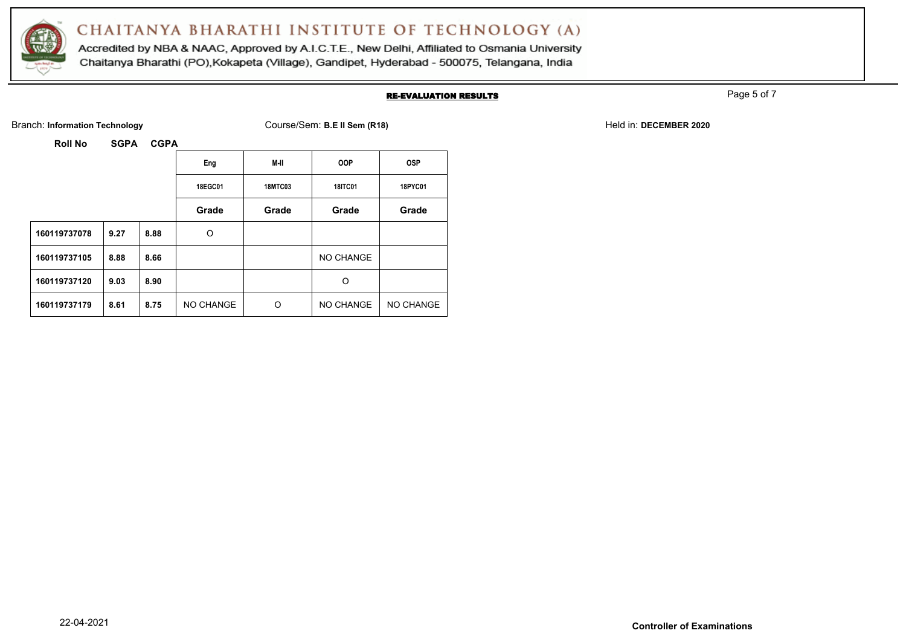

Accredited by NBA & NAAC, Approved by A.I.C.T.E., New Delhi, Affiliated to Osmania University Chaitanya Bharathi (PO), Kokapeta (Village), Gandipet, Hyderabad - 500075, Telangana, India

#### RE-EVALUATION RESULTS

Page 5 of 7

Branch: Information Technology **Course/Sem: B.E II Sem (R18)** Branch: **Information Technology** Held in: DECEMBER 2020

|              |      |      | Eng       | M-II           | <b>OOP</b>     | <b>OSP</b> |
|--------------|------|------|-----------|----------------|----------------|------------|
|              |      |      | 18EGC01   | <b>18MTC03</b> | <b>18ITC01</b> | 18PYC01    |
|              |      |      | Grade     | Grade          | Grade          | Grade      |
| 160119737078 | 9.27 | 8.88 | O         |                |                |            |
| 160119737105 | 8.88 | 8.66 |           |                | NO CHANGE      |            |
| 160119737120 | 9.03 | 8.90 |           |                | O              |            |
| 160119737179 | 8.61 | 8.75 | NO CHANGE | O              | NO CHANGE      | NO CHANGE  |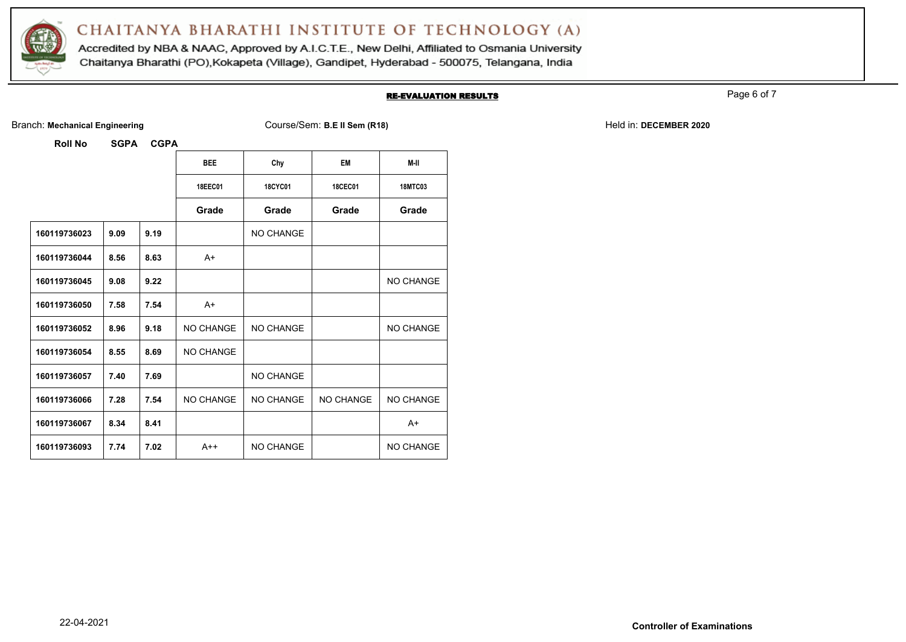

Accredited by NBA & NAAC, Approved by A.I.C.T.E., New Delhi, Affiliated to Osmania University Chaitanya Bharathi (PO), Kokapeta (Village), Gandipet, Hyderabad - 500075, Telangana, India

#### RE-EVALUATION RESULTS

Page 6 of 7

Branch: Mechanical Engineering **Course/Sem: B.E II Sem (R18)** Held in: DECEMBER 2020

|              |      |      | <b>BEE</b>     | Chy            | <b>EM</b>        | M-II           |
|--------------|------|------|----------------|----------------|------------------|----------------|
|              |      |      | <b>18EEC01</b> | <b>18CYC01</b> | <b>18CEC01</b>   | <b>18MTC03</b> |
|              |      |      | Grade          | Grade          | Grade            | Grade          |
| 160119736023 | 9.09 | 9.19 |                | NO CHANGE      |                  |                |
| 160119736044 | 8.56 | 8.63 | $A+$           |                |                  |                |
| 160119736045 | 9.08 | 9.22 |                |                |                  | NO CHANGE      |
| 160119736050 | 7.58 | 7.54 | $A+$           |                |                  |                |
| 160119736052 | 8.96 | 9.18 | NO CHANGE      | NO CHANGE      |                  | NO CHANGE      |
| 160119736054 | 8.55 | 8.69 | NO CHANGE      |                |                  |                |
| 160119736057 | 7.40 | 7.69 |                | NO CHANGE      |                  |                |
| 160119736066 | 7.28 | 7.54 | NO CHANGE      | NO CHANGE      | <b>NO CHANGE</b> | NO CHANGE      |
| 160119736067 | 8.34 | 8.41 |                |                |                  | $A+$           |
| 160119736093 | 7.74 | 7.02 | $A++$          | NO CHANGE      |                  | NO CHANGE      |
|              |      |      |                |                |                  |                |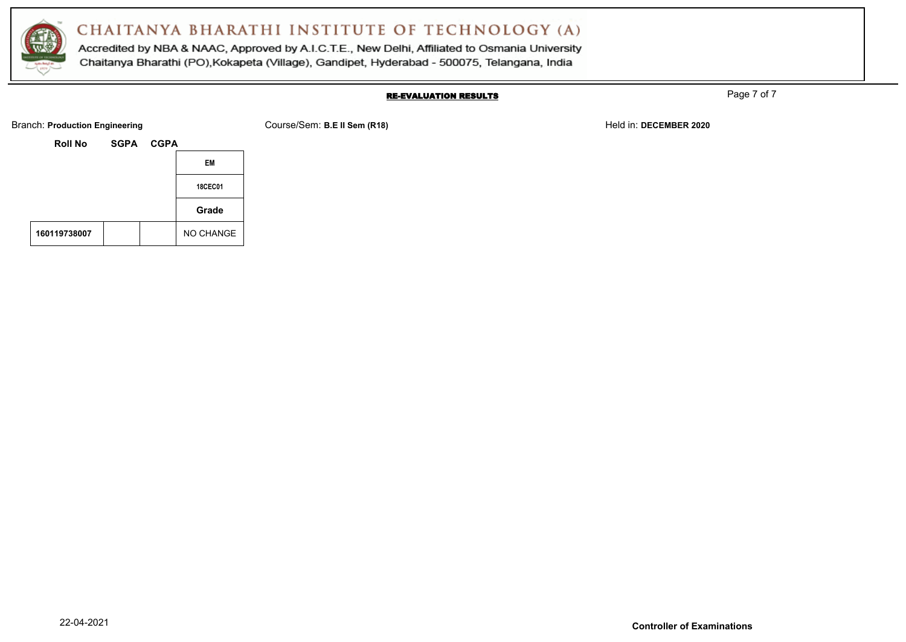

Accredited by NBA & NAAC, Approved by A.I.C.T.E., New Delhi, Affiliated to Osmania University Chaitanya Bharathi (PO), Kokapeta (Village), Gandipet, Hyderabad - 500075, Telangana, India

### RE-EVALUATION RESULTS

Page 7 of 7

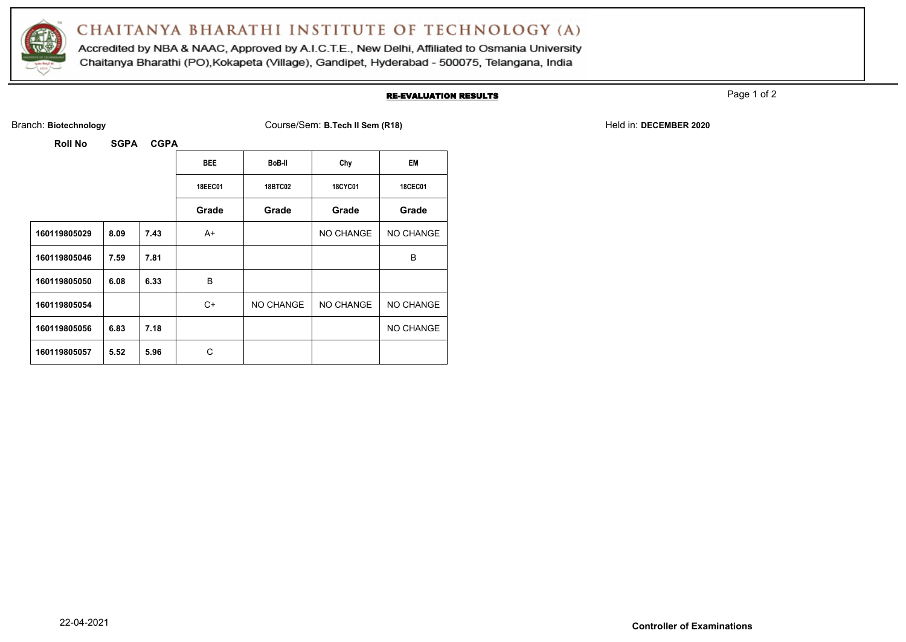

Accredited by NBA & NAAC, Approved by A.I.C.T.E., New Delhi, Affiliated to Osmania University Chaitanya Bharathi (PO), Kokapeta (Village), Gandipet, Hyderabad - 500075, Telangana, India

#### RE-EVALUATION RESULTS

Page 1 of 2

Branch: **Biotechnology** Course/Sem: **B.Tech II Sem (R18)** Held in: **DECEMBER 2020**

| .<br>◡◡ ┌    |      |      |                |                |                  |                  |  |
|--------------|------|------|----------------|----------------|------------------|------------------|--|
|              |      |      | <b>BEE</b>     | BoB-II         | Chy              | EM               |  |
|              |      |      | <b>18EEC01</b> | <b>18BTC02</b> | <b>18CYC01</b>   | <b>18CEC01</b>   |  |
|              |      |      | Grade          | Grade          | Grade            | Grade            |  |
| 160119805029 | 8.09 | 7.43 | A+             |                | <b>NO CHANGE</b> | NO CHANGE        |  |
| 160119805046 | 7.59 | 7.81 |                |                |                  | B                |  |
| 160119805050 | 6.08 | 6.33 | B              |                |                  |                  |  |
| 160119805054 |      |      | C+             | NO CHANGE      | NO CHANGE        | <b>NO CHANGE</b> |  |
| 160119805056 | 6.83 | 7.18 |                |                |                  | NO CHANGE        |  |
| 160119805057 | 5.52 | 5.96 | C              |                |                  |                  |  |